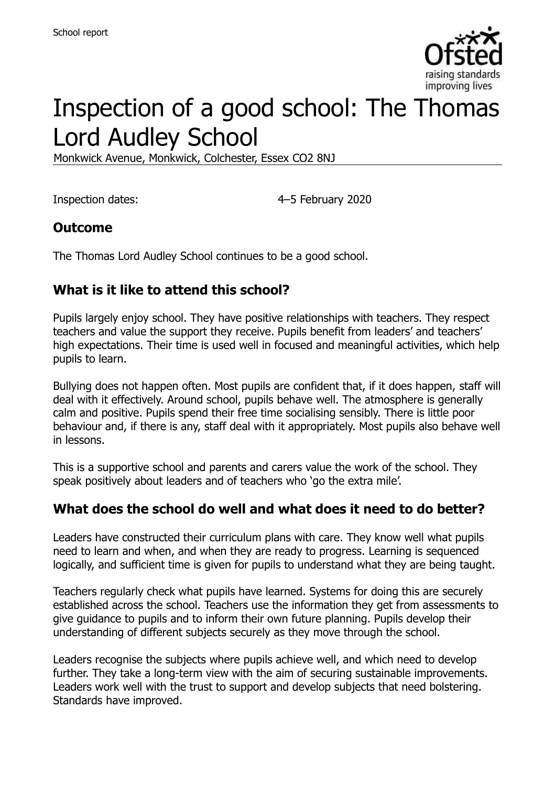

# Inspection of a good school: The Thomas Lord Audley School

Monkwick Avenue, Monkwick, Colchester, Essex CO2 8NJ

Inspection dates: 4–5 February 2020

#### **Outcome**

The Thomas Lord Audley School continues to be a good school.

## **What is it like to attend this school?**

Pupils largely enjoy school. They have positive relationships with teachers. They respect teachers and value the support they receive. Pupils benefit from leaders' and teachers' high expectations. Their time is used well in focused and meaningful activities, which help pupils to learn.

Bullying does not happen often. Most pupils are confident that, if it does happen, staff will deal with it effectively. Around school, pupils behave well. The atmosphere is generally calm and positive. Pupils spend their free time socialising sensibly. There is little poor behaviour and, if there is any, staff deal with it appropriately. Most pupils also behave well in lessons.

This is a supportive school and parents and carers value the work of the school. They speak positively about leaders and of teachers who 'go the extra mile'.

#### **What does the school do well and what does it need to do better?**

Leaders have constructed their curriculum plans with care. They know well what pupils need to learn and when, and when they are ready to progress. Learning is sequenced logically, and sufficient time is given for pupils to understand what they are being taught.

Teachers regularly check what pupils have learned. Systems for doing this are securely established across the school. Teachers use the information they get from assessments to give guidance to pupils and to inform their own future planning. Pupils develop their understanding of different subjects securely as they move through the school.

Leaders recognise the subjects where pupils achieve well, and which need to develop further. They take a long-term view with the aim of securing sustainable improvements. Leaders work well with the trust to support and develop subjects that need bolstering. Standards have improved.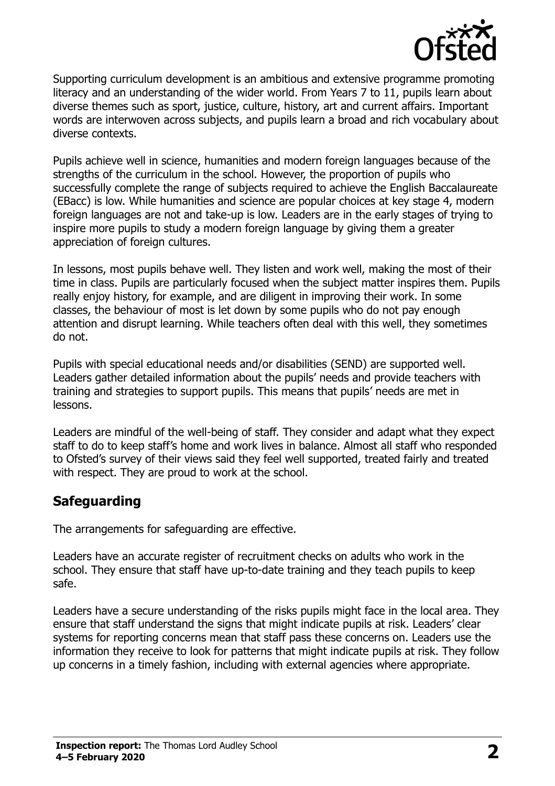

Supporting curriculum development is an ambitious and extensive programme promoting literacy and an understanding of the wider world. From Years 7 to 11, pupils learn about diverse themes such as sport, justice, culture, history, art and current affairs. Important words are interwoven across subjects, and pupils learn a broad and rich vocabulary about diverse contexts.

Pupils achieve well in science, humanities and modern foreign languages because of the strengths of the curriculum in the school. However, the proportion of pupils who successfully complete the range of subjects required to achieve the English Baccalaureate (EBacc) is low. While humanities and science are popular choices at key stage 4, modern foreign languages are not and take-up is low. Leaders are in the early stages of trying to inspire more pupils to study a modern foreign language by giving them a greater appreciation of foreign cultures.

In lessons, most pupils behave well. They listen and work well, making the most of their time in class. Pupils are particularly focused when the subject matter inspires them. Pupils really enjoy history, for example, and are diligent in improving their work. In some classes, the behaviour of most is let down by some pupils who do not pay enough attention and disrupt learning. While teachers often deal with this well, they sometimes do not.

Pupils with special educational needs and/or disabilities (SEND) are supported well. Leaders gather detailed information about the pupils' needs and provide teachers with training and strategies to support pupils. This means that pupils' needs are met in lessons.

Leaders are mindful of the well-being of staff. They consider and adapt what they expect staff to do to keep staff's home and work lives in balance. Almost all staff who responded to Ofsted's survey of their views said they feel well supported, treated fairly and treated with respect. They are proud to work at the school.

# **Safeguarding**

The arrangements for safeguarding are effective.

Leaders have an accurate register of recruitment checks on adults who work in the school. They ensure that staff have up-to-date training and they teach pupils to keep safe.

Leaders have a secure understanding of the risks pupils might face in the local area. They ensure that staff understand the signs that might indicate pupils at risk. Leaders' clear systems for reporting concerns mean that staff pass these concerns on. Leaders use the information they receive to look for patterns that might indicate pupils at risk. They follow up concerns in a timely fashion, including with external agencies where appropriate.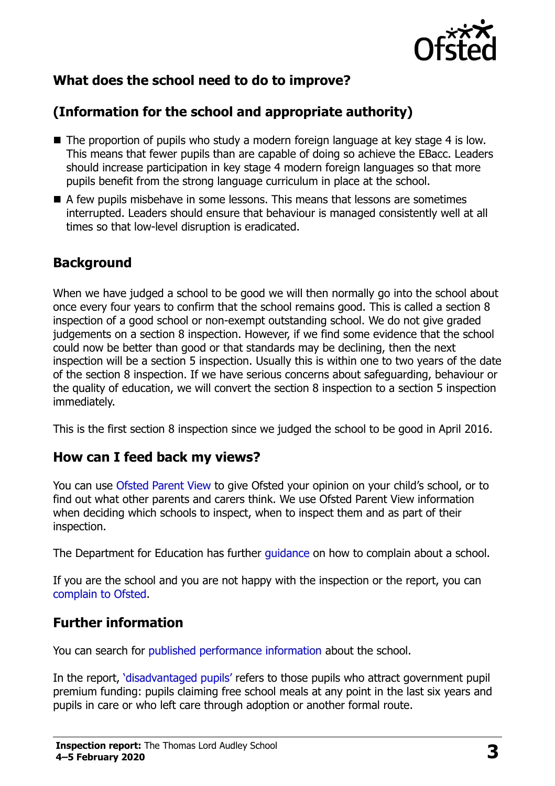

# **What does the school need to do to improve?**

# **(Information for the school and appropriate authority)**

- The proportion of pupils who study a modern foreign language at key stage 4 is low. This means that fewer pupils than are capable of doing so achieve the EBacc. Leaders should increase participation in key stage 4 modern foreign languages so that more pupils benefit from the strong language curriculum in place at the school.
- A few pupils misbehave in some lessons. This means that lessons are sometimes interrupted. Leaders should ensure that behaviour is managed consistently well at all times so that low-level disruption is eradicated.

## **Background**

When we have judged a school to be good we will then normally go into the school about once every four years to confirm that the school remains good. This is called a section 8 inspection of a good school or non-exempt outstanding school. We do not give graded judgements on a section 8 inspection. However, if we find some evidence that the school could now be better than good or that standards may be declining, then the next inspection will be a section 5 inspection. Usually this is within one to two years of the date of the section 8 inspection. If we have serious concerns about safeguarding, behaviour or the quality of education, we will convert the section 8 inspection to a section 5 inspection immediately.

This is the first section 8 inspection since we judged the school to be good in April 2016.

#### **How can I feed back my views?**

You can use [Ofsted Parent View](https://parentview.ofsted.gov.uk/) to give Ofsted your opinion on your child's school, or to find out what other parents and carers think. We use Ofsted Parent View information when deciding which schools to inspect, when to inspect them and as part of their inspection.

The Department for Education has further [guidance](http://www.gov.uk/complain-about-school) on how to complain about a school.

If you are the school and you are not happy with the inspection or the report, you can [complain to Ofsted.](https://www.gov.uk/complain-ofsted-report)

#### **Further information**

You can search for [published performance information](http://www.compare-school-performance.service.gov.uk/) about the school.

In the report, '[disadvantaged pupils](http://www.gov.uk/guidance/pupil-premium-information-for-schools-and-alternative-provision-settings)' refers to those pupils who attract government pupil premium funding: pupils claiming free school meals at any point in the last six years and pupils in care or who left care through adoption or another formal route.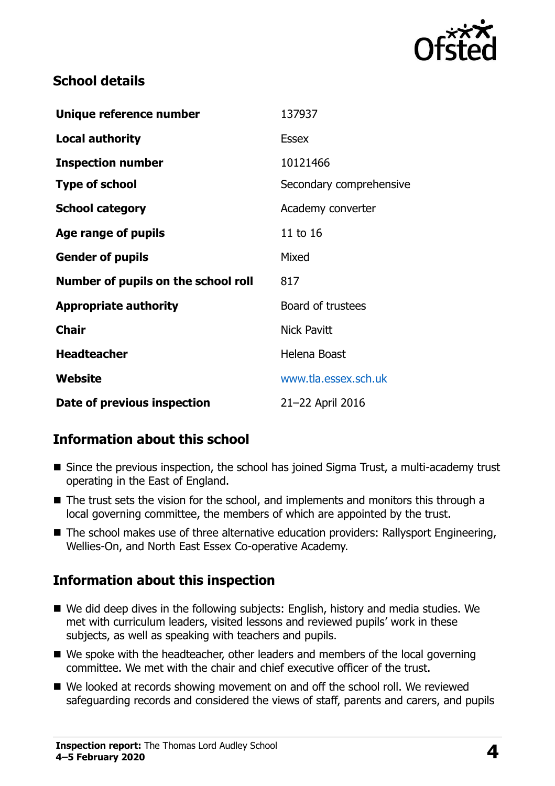

## **School details**

| Unique reference number             | 137937                  |
|-------------------------------------|-------------------------|
| <b>Local authority</b>              | <b>Essex</b>            |
| <b>Inspection number</b>            | 10121466                |
| <b>Type of school</b>               | Secondary comprehensive |
| <b>School category</b>              | Academy converter       |
| Age range of pupils                 | 11 to 16                |
| <b>Gender of pupils</b>             | Mixed                   |
| Number of pupils on the school roll | 817                     |
| <b>Appropriate authority</b>        | Board of trustees       |
| <b>Chair</b>                        | <b>Nick Pavitt</b>      |
| <b>Headteacher</b>                  | Helena Boast            |
| Website                             | www.tla.essex.sch.uk    |
| Date of previous inspection         | 21-22 April 2016        |

# **Information about this school**

- Since the previous inspection, the school has joined Sigma Trust, a multi-academy trust operating in the East of England.
- The trust sets the vision for the school, and implements and monitors this through a local governing committee, the members of which are appointed by the trust.
- The school makes use of three alternative education providers: Rallysport Engineering, Wellies-On, and North East Essex Co-operative Academy.

# **Information about this inspection**

- We did deep dives in the following subjects: English, history and media studies. We met with curriculum leaders, visited lessons and reviewed pupils' work in these subjects, as well as speaking with teachers and pupils.
- We spoke with the headteacher, other leaders and members of the local governing committee. We met with the chair and chief executive officer of the trust.
- We looked at records showing movement on and off the school roll. We reviewed safeguarding records and considered the views of staff, parents and carers, and pupils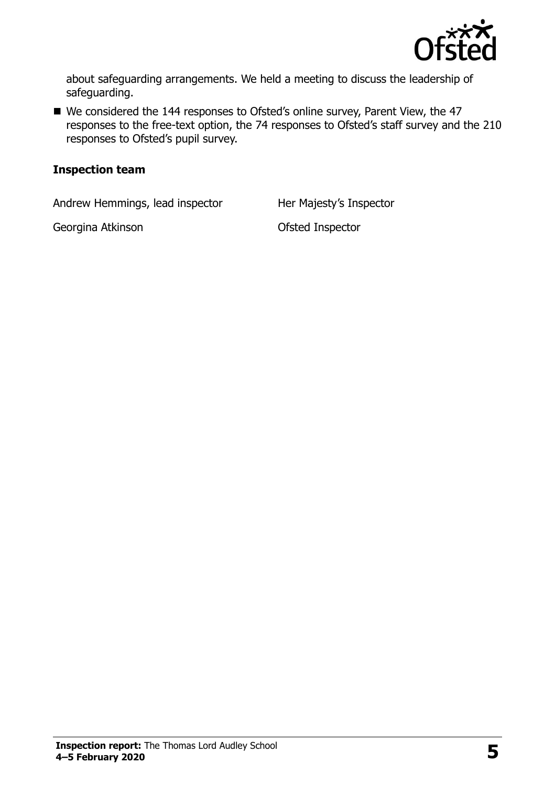

about safeguarding arrangements. We held a meeting to discuss the leadership of safeguarding.

■ We considered the 144 responses to Ofsted's online survey, Parent View, the 47 responses to the free-text option, the 74 responses to Ofsted's staff survey and the 210 responses to Ofsted's pupil survey.

#### **Inspection team**

Andrew Hemmings, lead inspector Her Majesty's Inspector

Georgina Atkinson **Georgina Atkinson CES**